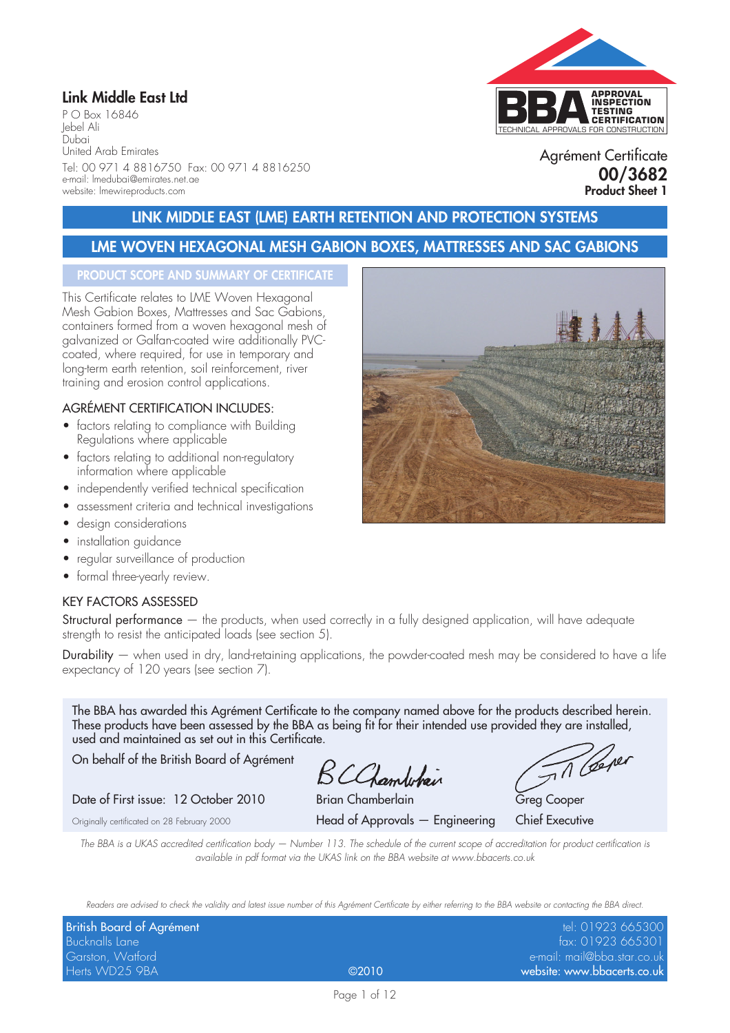## **Link Middle East Ltd**

P O Box 16846 Jebel Ali Dubai United Arab Emirates Tel: 00 971 4 8816750 Fax: 00 971 4 8816250 e-mail: lmedubai@emirates.net.ae website: lmewireproducts.com



Agrément Certificate **00/3682 Product Sheet 1**

## **LINK MIDDLE EAST (LME) EARTH RETENTION AND PROTECTION SYSTEMS**

## **LME WOVEN HEXAGONAL MESH GABION BOXES, MATTRESSES AND SAC GABIONS**

#### **PRODUCT SCOPE AND SUMMARY OF CERTIFICATE**

This Certificate relates to LME Woven Hexagonal Mesh Gabion Boxes, Mattresses and Sac Gabions, containers formed from a woven hexagonal mesh of galvanized or Galfan-coated wire additionally PVCcoated, where required, for use in temporary and long-term earth retention, soil reinforcement, river training and erosion control applications.

#### AGRÉMENT CERTIFICATION INCLUDES:

- factors relating to compliance with Building Regulations where applicable
- factors relating to additional non-regulatory information where applicable
- independently verified technical specification
- assessment criteria and technical investigations
- design considerations
- installation guidance
- regular surveillance of production
- formal three-yearly review.

#### KEY FACTORS ASSESSED

Structural performance — the products, when used correctly in a fully designed application, will have adequate strength to resist the anticipated loads (see section 5).

Durability — when used in dry, land-retaining applications, the powder-coated mesh may be considered to have a life expectancy of 120 years (see section 7).

The BBA has awarded this Agrément Certificate to the company named above for the products described herein. These products have been assessed by the BBA as being fit for their intended use provided they are installed, used and maintained as set out in this Certificate.

On behalf of the British Board of Agrément

BCChamberlain

Date of First issue: 12 October 2010 Brian Chamberlain Greg Cooper

Originally certificated on 28 February 2000 Head of Approvals — Engineering Chief Executive

Th Cere

*The BBA is a UKAS accredited certification body — Number 113. The schedule of the current scope of accreditation for product certification is available in pdf format via the UKAS link on the BBA website at www.bbacerts.co.uk*

*Readers are advised to check the validity and latest issue number of this Agrément Certificate by either referring to the BBA website or contacting the BBA direct.*

| <b>British Board of Agrément</b> |       | tel: 01923 665300           |
|----------------------------------|-------|-----------------------------|
| Bucknalls Lane                   |       | fax: 01923 665301           |
| Garston, Watford                 |       | e-mail: mail@bba.star.co.uk |
| Herts WD25 9BA                   | @2010 | website: www.bbacerts.co.uk |

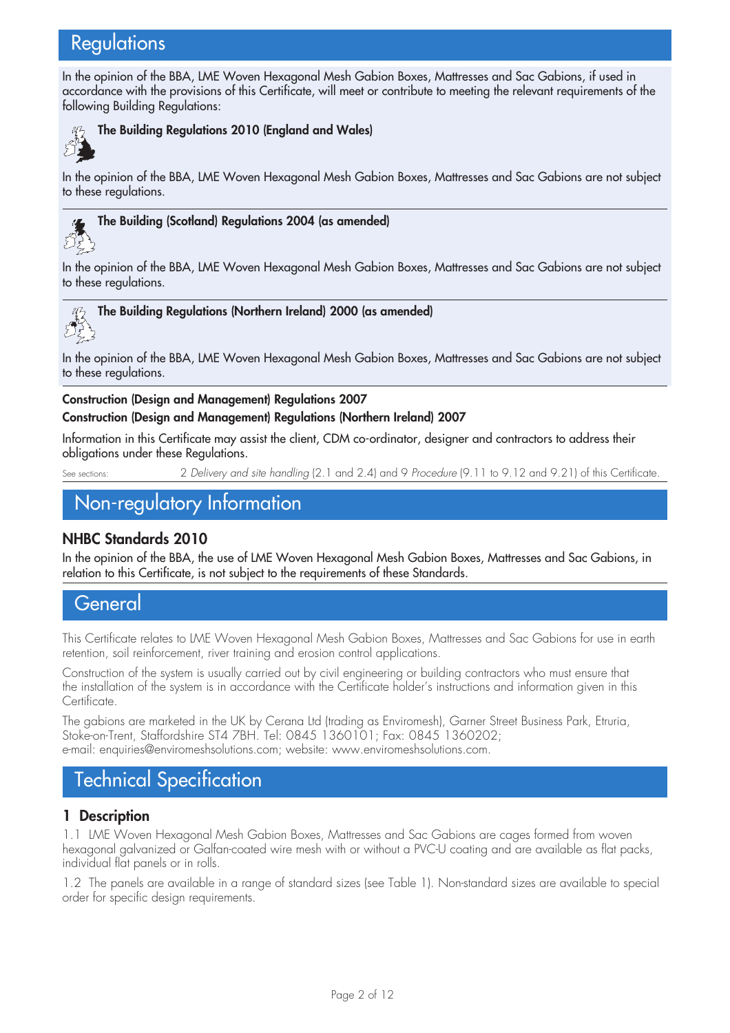# **Regulations**

In the opinion of the BBA, LME Woven Hexagonal Mesh Gabion Boxes, Mattresses and Sac Gabions, if used in accordance with the provisions of this Certificate, will meet or contribute to meeting the relevant requirements of the following Building Regulations:



### **The Building Regulations 2010 (England and Wales)**

In the opinion of the BBA, LME Woven Hexagonal Mesh Gabion Boxes, Mattresses and Sac Gabions are not subject to these regulations.



#### **The Building (Scotland) Regulations 2004 (as amended)**

In the opinion of the BBA, LME Woven Hexagonal Mesh Gabion Boxes, Mattresses and Sac Gabions are not subject to these regulations.



In the opinion of the BBA, LME Woven Hexagonal Mesh Gabion Boxes, Mattresses and Sac Gabions are not subject to these regulations.

#### **Construction (Design and Management) Regulations 2007**

#### **Construction (Design and Management) Regulations (Northern Ireland) 2007**

Information in this Certificate may assist the client, CDM co-ordinator, designer and contractors to address their obligations under these Regulations.

See sections: 2 *Delivery and site handling* (2.1 and 2.4) and 9 *Procedure* (9.11 to 9.12 and 9.21) of this Certificate.

# Non-regulatory Information

#### **NHBC Standards 2010**

In the opinion of the BBA, the use of LME Woven Hexagonal Mesh Gabion Boxes, Mattresses and Sac Gabions, in relation to this Certificate, is not subject to the requirements of these Standards.

# **General**

This Certificate relates to LME Woven Hexagonal Mesh Gabion Boxes, Mattresses and Sac Gabions for use in earth retention, soil reinforcement, river training and erosion control applications.

Construction of the system is usually carried out by civil engineering or building contractors who must ensure that the installation of the system is in accordance with the Certificate holder's instructions and information given in this Certificate.

The gabions are marketed in the UK by Cerana Ltd (trading as Enviromesh), Garner Street Business Park, Etruria, Stoke-on-Trent, Staffordshire ST4 7BH. Tel: 0845 1360101; Fax: 0845 1360202; e-mail: enquiries@enviromeshsolutions.com; website: www.enviromeshsolutions.com.

# Technical Specification

#### **1 Description**

1.1 LME Woven Hexagonal Mesh Gabion Boxes, Mattresses and Sac Gabions are cages formed from woven hexagonal galvanized or Galfan-coated wire mesh with or without a PVC-U coating and are available as flat packs, individual flat panels or in rolls.

1.2 The panels are available in a range of standard sizes (see Table 1). Non-standard sizes are available to special order for specific design requirements.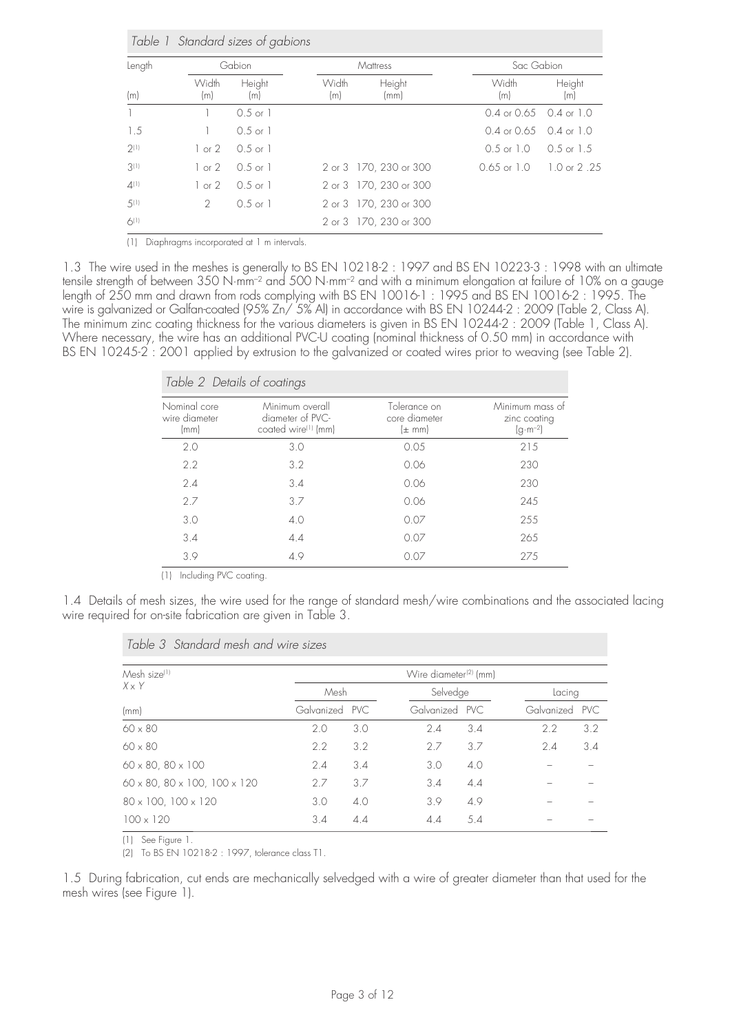| Length    |                   | Gabion              |              | <b>Mattress</b>        | Sac Gabion                       |               |  |
|-----------|-------------------|---------------------|--------------|------------------------|----------------------------------|---------------|--|
| (m)       | Width<br>(m)      | Height<br>(m)       | Width<br>(m) | Height<br>(mm)         | Width<br>(m)                     | Height<br>(m) |  |
|           |                   | $0.5$ or $1$        |              |                        | $0.4$ or $0.65$ 0.4 or 1.0       |               |  |
| 1.5       |                   | $0.5$ or 1          |              |                        | $0.4$ or $0.65$ $0.4$ or $1.0$   |               |  |
| 2(1)      | $1 \text{ or } 2$ | $0.5 \text{ or } 1$ |              |                        | 0.5 or 1.0                       | 0.5 or 1.5    |  |
| 3(1)      | $1 \text{ or } 2$ | 0.5 or 1            |              | 2 or 3 170, 230 or 300 | $0.65$ or $1.0 \t 1.0$ or $2.25$ |               |  |
| $4^{(1)}$ | $1 \text{ or } 2$ | $0.5 \text{ or } 1$ |              | 2 or 3 170, 230 or 300 |                                  |               |  |
| 5(1)      | $\mathcal{P}$     | $0.5 \text{ or } 1$ |              | 2 or 3 170, 230 or 300 |                                  |               |  |
| $6^{(1)}$ |                   |                     |              | 2 or 3 170, 230 or 300 |                                  |               |  |

(1) Diaphragms incorporated at 1 m intervals.

1.3 The wire used in the meshes is generally to BS EN 10218-2 : 1997 and BS EN 10223-3 : 1998 with an ultimate tensile strength of between 350 N·mm–2 and 500 N·mm–2 and with a minimum elongation at failure of 10% on a gauge length of 250 mm and drawn from rods complying with BS EN 10016-1 : 1995 and BS EN 10016-2 : 1995. The wire is galvanized or Galfan-coated (95% Zn/ 5% Al) in accordance with BS EN 10244-2 : 2009 (Table 2, Class A). The minimum zinc coating thickness for the various diameters is given in BS EN 10244-2 : 2009 (Table 1, Class A). Where necessary, the wire has an additional PVC-U coating (nominal thickness of 0.50 mm) in accordance with BS EN 10245-2 : 2001 applied by extrusion to the galvanized or coated wires prior to weaving (see Table 2).

| Table 2 Details of coatings           |                                                                        |                                             |                                                       |
|---------------------------------------|------------------------------------------------------------------------|---------------------------------------------|-------------------------------------------------------|
| Nominal core<br>wire diameter<br>(mm) | Minimum overall<br>diameter of PVC-<br>coated wire <sup>(1)</sup> (mm) | Tolerance on<br>core diameter<br>$(\pm$ mm) | Minimum mass of<br>zinc coating<br>$(q \cdot m^{-2})$ |
| 2.0                                   | 3.0                                                                    | 0.05                                        | 215                                                   |
| 2.2                                   | 3.2                                                                    | 0.06                                        | 230                                                   |
| 2.4                                   | 3.4                                                                    | 0.06                                        | 230                                                   |
| 2.7                                   | 3.7                                                                    | 0.06                                        | 245                                                   |
| 3.0                                   | 4.0                                                                    | 0.07                                        | 255                                                   |
| 3.4                                   | 4.4                                                                    | 0.07                                        | 265                                                   |
| 3.9                                   | 4.9                                                                    | 0.07                                        | 275                                                   |

(1) Including PVC coating.

1.4 Details of mesh sizes, the wire used for the range of standard mesh/wire combinations and the associated lacing wire required for on-site fabrication are given in Table 3.

| Table 3 Standard mesh and wire sizes |
|--------------------------------------|
|--------------------------------------|

| Mesh size <sup>[1]</sup>                            | Wire diameter <sup>(2)</sup> (mm) |     |                |     |                |     |
|-----------------------------------------------------|-----------------------------------|-----|----------------|-----|----------------|-----|
| $X \times Y$                                        | Mesh                              |     | Selvedge       |     | Lacing         |     |
| (mm)                                                | Galvanized PVC                    |     | Galvanized PVC |     | Galvanized PVC |     |
| $60 \times 80$                                      | 2.0                               | 3.0 | 2.4            | 3.4 | 2.2            | 3.2 |
| $60 \times 80$                                      | 2.2                               | 3.2 | 2.7            | 3.7 | 2.4            | 3.4 |
| $60 \times 80, 80 \times 100$                       | 2.4                               | 3.4 | 3.0            | 4.0 |                |     |
| $60 \times 80$ , $80 \times 100$ , $100 \times 120$ | 2.7                               | 3.7 | 3.4            | 4.4 |                |     |
| $80 \times 100$ , $100 \times 120$                  | 3.0                               | 4.0 | 3.9            | 4.9 |                |     |
| $100 \times 120$                                    | 3.4                               | 4.4 | 4.4            | 5.4 |                |     |

(1) See Figure 1.

(2) To BS EN 10218-2 : 1997, tolerance class T1.

1.5 During fabrication, cut ends are mechanically selvedged with a wire of greater diameter than that used for the mesh wires (see Figure 1).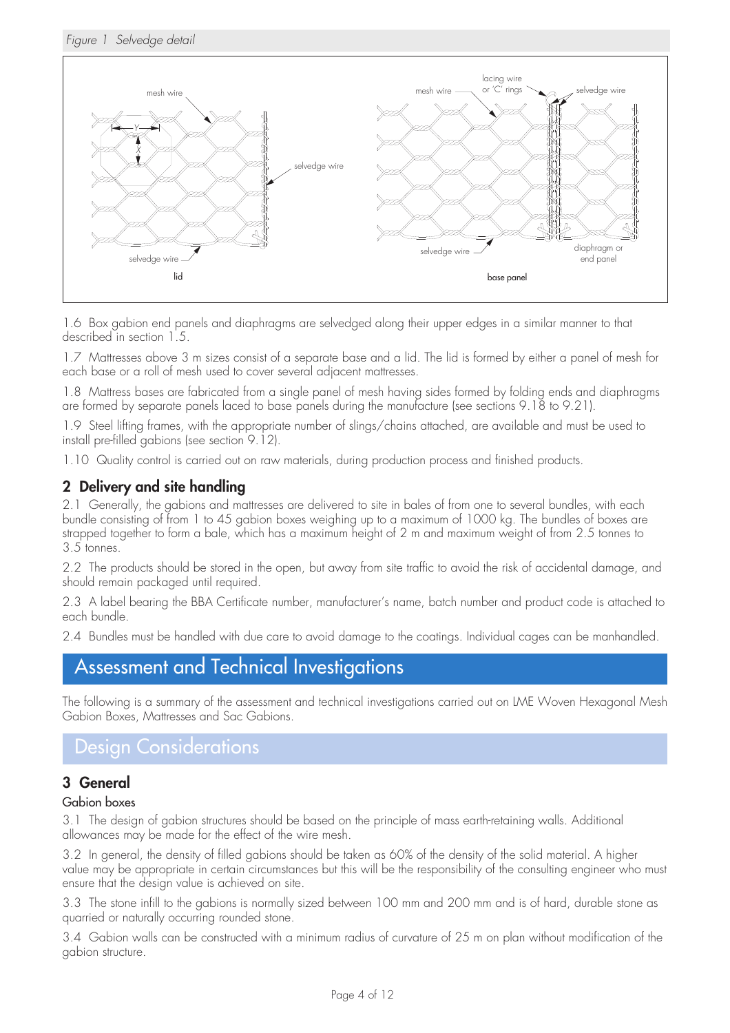#### *Figure 1 Selvedge detail*



1.6 Box gabion end panels and diaphragms are selvedged along their upper edges in a similar manner to that described in section 1.5.

1.7 Mattresses above 3 m sizes consist of a separate base and a lid. The lid is formed by either a panel of mesh for each base or a roll of mesh used to cover several adjacent mattresses.

1.8 Mattress bases are fabricated from a single panel of mesh having sides formed by folding ends and diaphragms are formed by separate panels laced to base panels during the manufacture (see sections 9.18 to 9.21).

1.9 Steel lifting frames, with the appropriate number of slings/chains attached, are available and must be used to install pre-filled gabions (see section 9.12).

1.10 Quality control is carried out on raw materials, during production process and finished products.

## **2 Delivery and site handling**

2.1 Generally, the gabions and mattresses are delivered to site in bales of from one to several bundles, with each bundle consisting of from 1 to 45 gabion boxes weighing up to a maximum of 1000 kg. The bundles of boxes are strapped together to form a bale, which has a maximum height of 2 m and maximum weight of from 2.5 tonnes to 3.5 tonnes.

2.2 The products should be stored in the open, but away from site traffic to avoid the risk of accidental damage, and should remain packaged until required.

2.3 A label bearing the BBA Certificate number, manufacturer's name, batch number and product code is attached to each bundle.

2.4 Bundles must be handled with due care to avoid damage to the coatings. Individual cages can be manhandled.

# Assessment and Technical Investigations

The following is a summary of the assessment and technical investigations carried out on LME Woven Hexagonal Mesh Gabion Boxes, Mattresses and Sac Gabions.

# Design Considerations

#### **3 General**

#### Gabion boxes

3.1 The design of gabion structures should be based on the principle of mass earth-retaining walls. Additional allowances may be made for the effect of the wire mesh.

3.2 In general, the density of filled gabions should be taken as 60% of the density of the solid material. A higher value may be appropriate in certain circumstances but this will be the responsibility of the consulting engineer who must ensure that the design value is achieved on site.

3.3 The stone infill to the gabions is normally sized between 100 mm and 200 mm and is of hard, durable stone as quarried or naturally occurring rounded stone.

3.4 Gabion walls can be constructed with a minimum radius of curvature of 25 m on plan without modification of the gabion structure.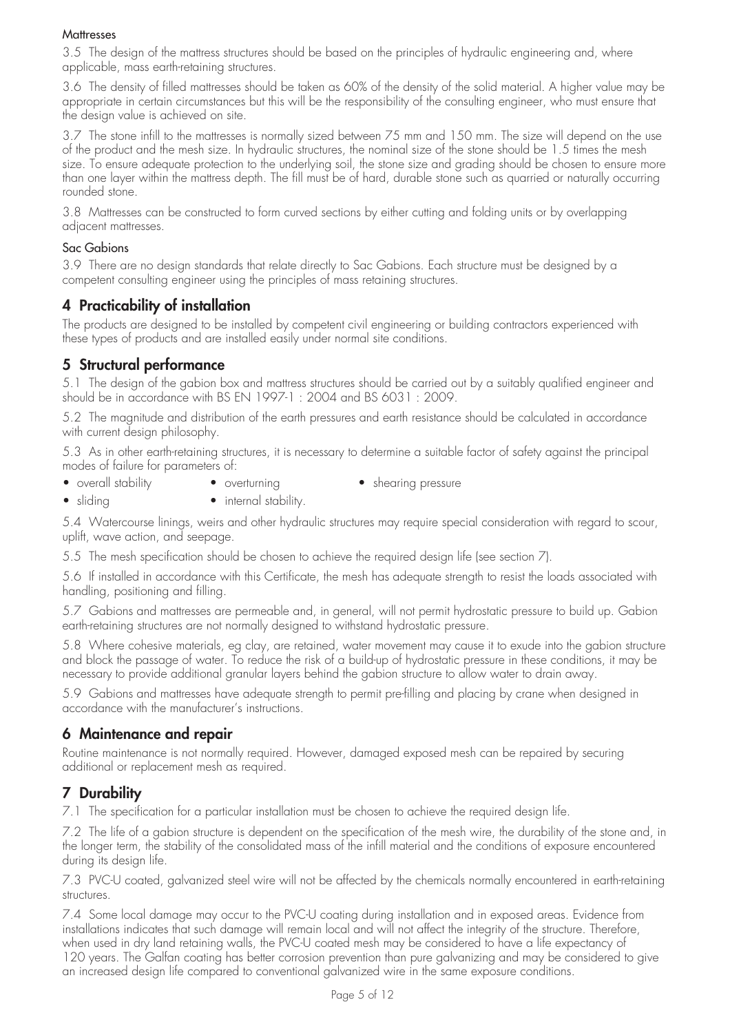#### **Mattresses**

3.5 The design of the mattress structures should be based on the principles of hydraulic engineering and, where applicable, mass earth-retaining structures.

3.6 The density of filled mattresses should be taken as 60% of the density of the solid material. A higher value may be appropriate in certain circumstances but this will be the responsibility of the consulting engineer, who must ensure that the design value is achieved on site.

3.7 The stone infill to the mattresses is normally sized between 75 mm and 150 mm. The size will depend on the use of the product and the mesh size. In hydraulic structures, the nominal size of the stone should be 1.5 times the mesh size. To ensure adequate protection to the underlying soil, the stone size and grading should be chosen to ensure more than one layer within the mattress depth. The fill must be of hard, durable stone such as quarried or naturally occurring rounded stone.

3.8 Mattresses can be constructed to form curved sections by either cutting and folding units or by overlapping adjacent mattresses.

#### Sac Gabions

3.9 There are no design standards that relate directly to Sac Gabions. Each structure must be designed by a competent consulting engineer using the principles of mass retaining structures.

## **4 Practicability of installation**

The products are designed to be installed by competent civil engineering or building contractors experienced with these types of products and are installed easily under normal site conditions.

### **5 Structural performance**

5.1 The design of the gabion box and mattress structures should be carried out by a suitably qualified engineer and should be in accordance with BS EN 1997-1 : 2004 and BS 6031 : 2009.

5.2 The magnitude and distribution of the earth pressures and earth resistance should be calculated in accordance with current design philosophy.

5.3 As in other earth-retaining structures, it is necessary to determine a suitable factor of safety against the principal modes of failure for parameters of:

- overall stability overturning shearing pressure
- sliding internal stability.

5.4 Watercourse linings, weirs and other hydraulic structures may require special consideration with regard to scour, uplift, wave action, and seepage.

5.5 The mesh specification should be chosen to achieve the required design life (see section 7).

5.6 If installed in accordance with this Certificate, the mesh has adequate strength to resist the loads associated with handling, positioning and filling.

5.7 Gabions and mattresses are permeable and, in general, will not permit hydrostatic pressure to build up. Gabion earth-retaining structures are not normally designed to withstand hydrostatic pressure.

5.8 Where cohesive materials, eg clay, are retained, water movement may cause it to exude into the gabion structure and block the passage of water. To reduce the risk of a build-up of hydrostatic pressure in these conditions, it may be necessary to provide additional granular layers behind the gabion structure to allow water to drain away.

5.9 Gabions and mattresses have adequate strength to permit pre-filling and placing by crane when designed in accordance with the manufacturer's instructions.

#### **6 Maintenance and repair**

Routine maintenance is not normally required. However, damaged exposed mesh can be repaired by securing additional or replacement mesh as required.

## **7 Durability**

7.1 The specification for a particular installation must be chosen to achieve the required design life.

7.2 The life of a gabion structure is dependent on the specification of the mesh wire, the durability of the stone and, in the longer term, the stability of the consolidated mass of the infill material and the conditions of exposure encountered during its design life.

7.3 PVC-U coated, galvanized steel wire will not be affected by the chemicals normally encountered in earth-retaining structures.

7.4 Some local damage may occur to the PVC-U coating during installation and in exposed areas. Evidence from installations indicates that such damage will remain local and will not affect the integrity of the structure. Therefore, when used in dry land retaining walls, the PVC-U coated mesh may be considered to have a life expectancy of 120 years. The Galfan coating has better corrosion prevention than pure galvanizing and may be considered to give an increased design life compared to conventional galvanized wire in the same exposure conditions.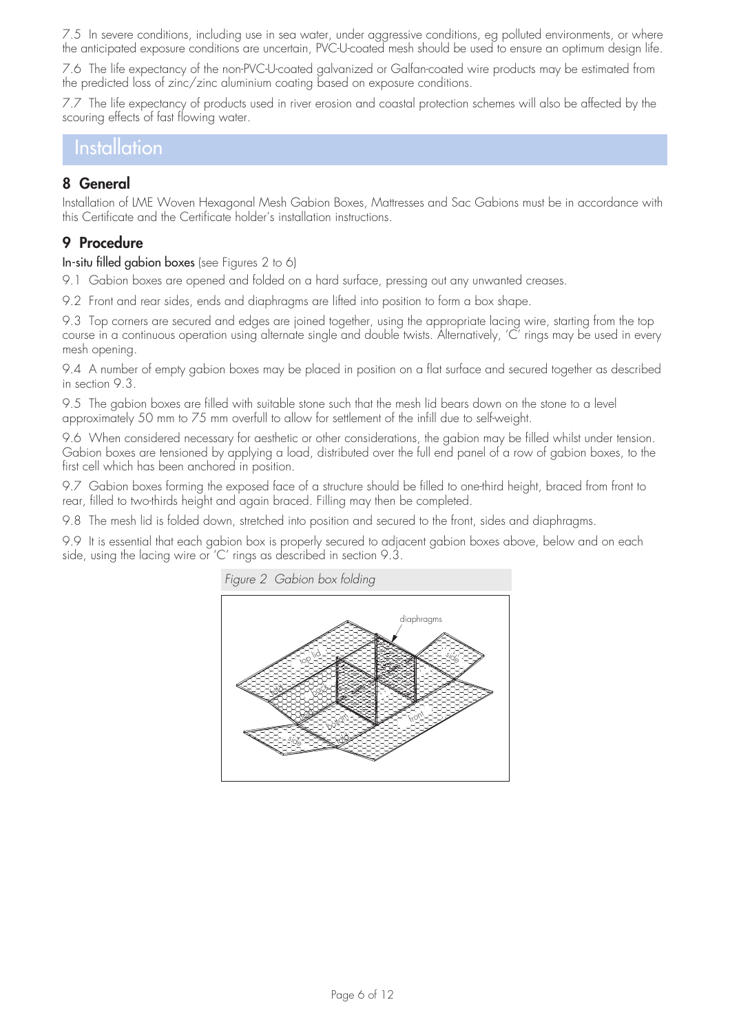7.5 In severe conditions, including use in sea water, under aggressive conditions, eg polluted environments, or where the anticipated exposure conditions are uncertain, PVC-U-coated mesh should be used to ensure an optimum design life.

7.6 The life expectancy of the non-PVC-U-coated galvanized or Galfan-coated wire products may be estimated from the predicted loss of zinc/zinc aluminium coating based on exposure conditions.

7.7 The life expectancy of products used in river erosion and coastal protection schemes will also be affected by the scouring effects of fast flowing water.

# Installation

## **8 General**

Installation of LME Woven Hexagonal Mesh Gabion Boxes, Mattresses and Sac Gabions must be in accordance with this Certificate and the Certificate holder's installation instructions.

## **9 Procedure**

In-situ filled gabion boxes (see Figures 2 to 6)

9.1 Gabion boxes are opened and folded on a hard surface, pressing out any unwanted creases.

9.2 Front and rear sides, ends and diaphragms are lifted into position to form a box shape.

9.3 Top corners are secured and edges are joined together, using the appropriate lacing wire, starting from the top course in a continuous operation using alternate single and double twists. Alternatively, 'C' rings may be used in every mesh opening.

9.4 A number of empty gabion boxes may be placed in position on a flat surface and secured together as described in section 9.3.

9.5 The gabion boxes are filled with suitable stone such that the mesh lid bears down on the stone to a level approximately 50 mm to 75 mm overfull to allow for settlement of the infill due to self-weight.

9.6 When considered necessary for aesthetic or other considerations, the gabion may be filled whilst under tension. Gabion boxes are tensioned by applying a load, distributed over the full end panel of a row of gabion boxes, to the first cell which has been anchored in position.

9.7 Gabion boxes forming the exposed face of a structure should be filled to one-third height, braced from front to rear, filled to two-thirds height and again braced. Filling may then be completed.

9.8 The mesh lid is folded down, stretched into position and secured to the front, sides and diaphragms.

9.9 It is essential that each gabion box is properly secured to adjacent gabion boxes above, below and on each side, using the lacing wire or 'C' rings as described in section 9.3.

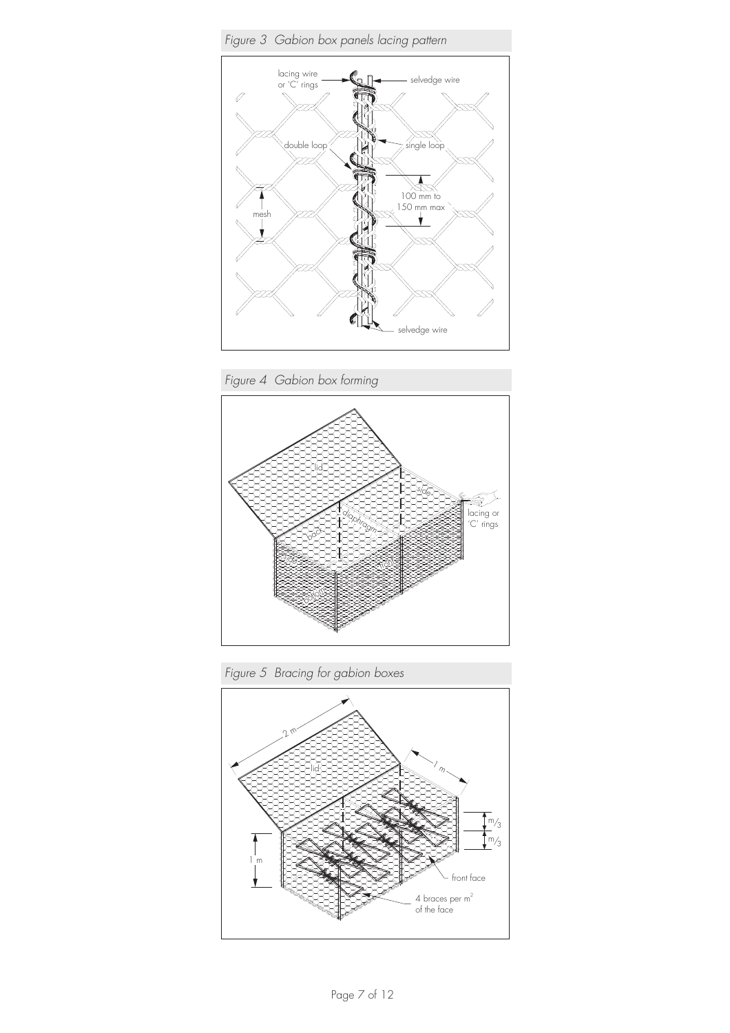

*Figure 4 Gabion box forming*



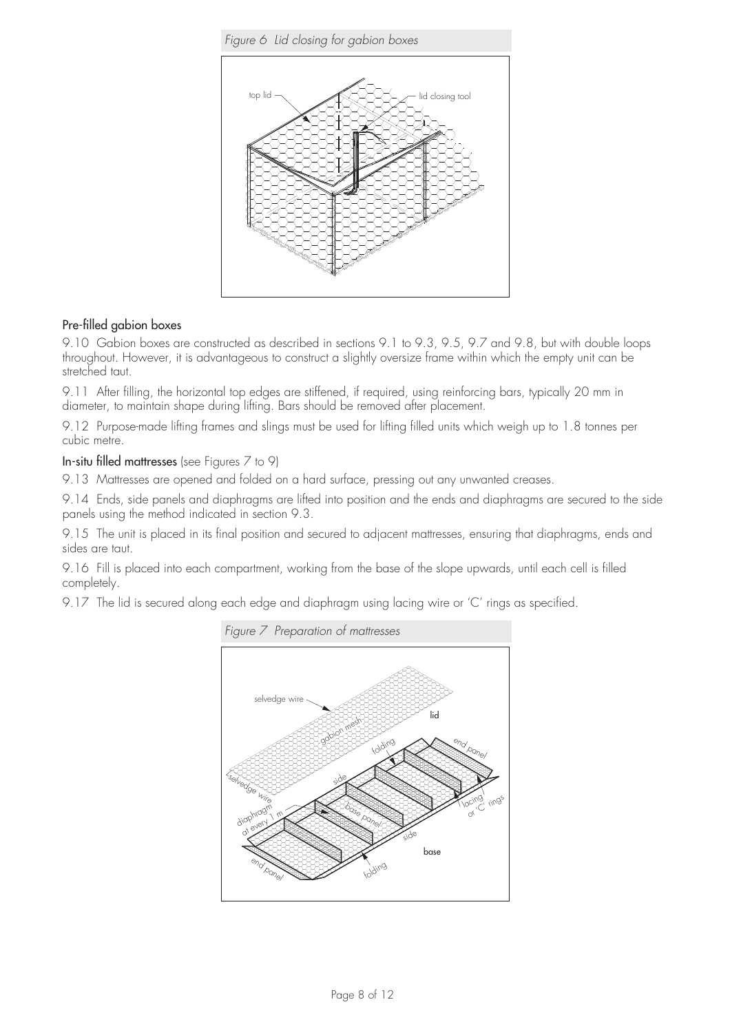

#### Pre-filled gabion boxes

9.10 Gabion boxes are constructed as described in sections 9.1 to 9.3, 9.5, 9.7 and 9.8, but with double loops throughout. However, it is advantageous to construct a slightly oversize frame within which the empty unit can be stretched taut.

9.11 After filling, the horizontal top edges are stiffened, if required, using reinforcing bars, typically 20 mm in diameter, to maintain shape during lifting. Bars should be removed after placement.

9.12 Purpose-made lifting frames and slings must be used for lifting filled units which weigh up to 1.8 tonnes per cubic metre.

In-situ filled mattresses (see Figures 7 to 9)

9.13 Mattresses are opened and folded on a hard surface, pressing out any unwanted creases.

9.14 Ends, side panels and diaphragms are lifted into position and the ends and diaphragms are secured to the side panels using the method indicated in section 9.3.

9.15 The unit is placed in its final position and secured to adjacent mattresses, ensuring that diaphragms, ends and sides are taut.

9.16 Fill is placed into each compartment, working from the base of the slope upwards, until each cell is filled completely.

9.17 The lid is secured along each edge and diaphragm using lacing wire or 'C' rings as specified.

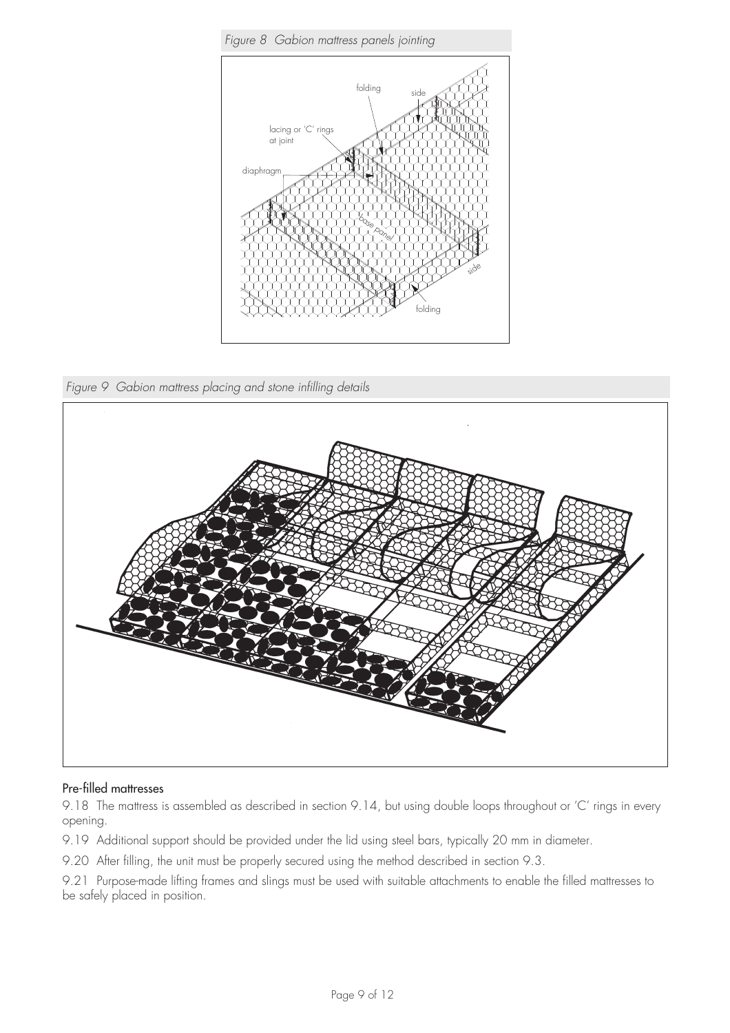

*Figure 9 Gabion mattress placing and stone infilling details*



#### Pre-filled mattresses

9.18 The mattress is assembled as described in section 9.14, but using double loops throughout or 'C' rings in every opening.

9.19 Additional support should be provided under the lid using steel bars, typically 20 mm in diameter.

9.20 After filling, the unit must be properly secured using the method described in section 9.3.

9.21 Purpose-made lifting frames and slings must be used with suitable attachments to enable the filled mattresses to be safely placed in position.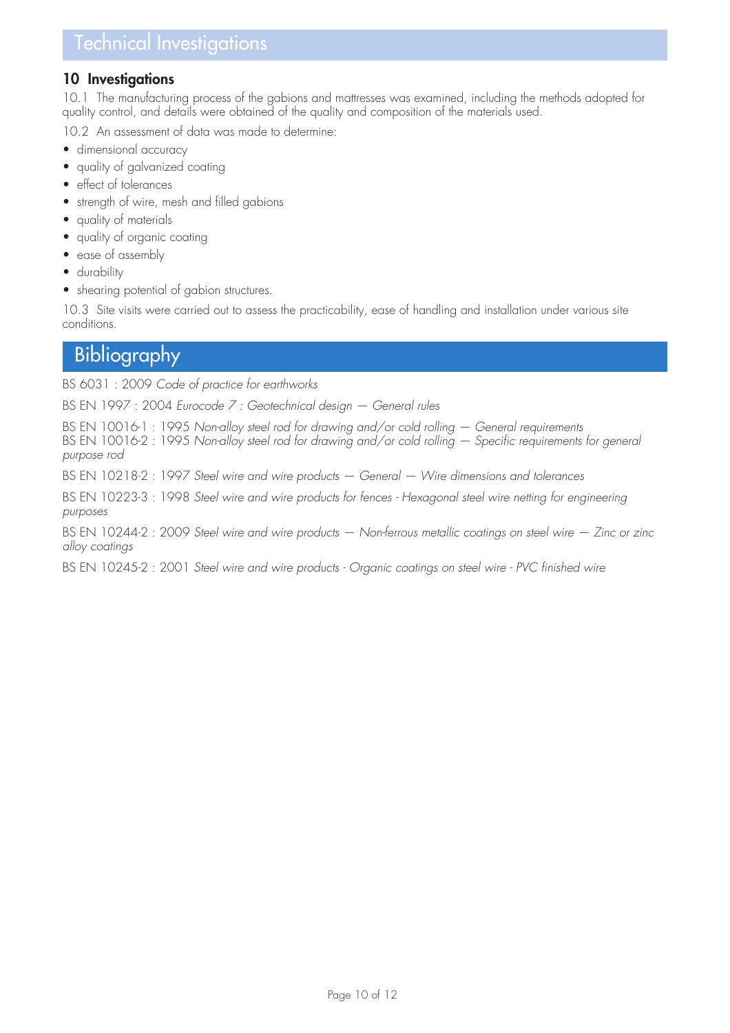# Technical Investigations

#### **10 Investigations**

10.1 The manufacturing process of the gabions and mattresses was examined, including the methods adopted for quality control, and details were obtained of the quality and composition of the materials used.

10.2 An assessment of data was made to determine:

- dimensional accuracy
- quality of galvanized coating
- effect of tolerances
- strength of wire, mesh and filled gabions
- quality of materials
- quality of organic coating
- ease of assembly
- durability
- shearing potential of gabion structures.

10.3 Site visits were carried out to assess the practicability, ease of handling and installation under various site conditions.

# **Bibliography**

BS 6031 : 2009 *Code of practice for earthworks*

BS EN 1997 : 2004 *Eurocode 7 : Geotechnical design — General rules*

BS EN 10016-1 : 1995 *Non-alloy steel rod for drawing and/or cold rolling — General requirements* BS EN 10016-2 : 1995 *Non-alloy steel rod for drawing and/or cold rolling – Specific requirements for general purpose rod*

BS EN 10218-2 : 1997 *Steel wire and wire products — General — Wire dimensions and tolerances*

BS EN 10223-3 : 1998 Steel wire and wire products for fences - Hexagonal steel wire netting for engineering *purposes*

BS EN 10244-2 : 2009 *Steel wire and wire products — Non-ferrous metallic coatings on steel wire — Zinc or zinc alloy coatings*

BS EN 10245-2 : 2001 Steel wire and wire products - Organic coatings on steel wire - PVC finished wire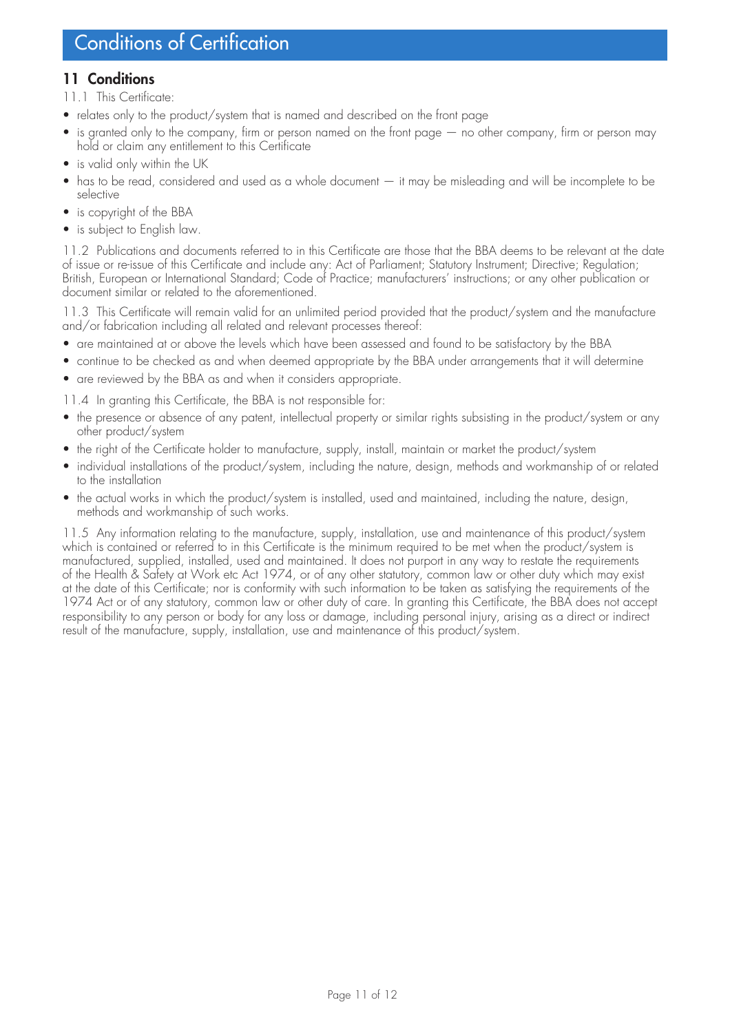## **11 Conditions**

- 11.1 This Certificate:
- relates only to the product/system that is named and described on the front page
- is granted only to the company, firm or person named on the front page no other company, firm or person may hold or claim any entitlement to this Certificate
- is valid only within the UK
- has to be read, considered and used as a whole document it may be misleading and will be incomplete to be selective
- is copyright of the BBA
- is subject to English law.

11.2 Publications and documents referred to in this Certificate are those that the BBA deems to be relevant at the date of issue or re-issue of this Certificate and include any: Act of Parliament; Statutory Instrument; Directive; Regulation; British, European or International Standard; Code of Practice; manufacturers' instructions; or any other publication or document similar or related to the aforementioned.

11.3 This Certificate will remain valid for an unlimited period provided that the product/system and the manufacture and/or fabrication including all related and relevant processes thereof:

- are maintained at or above the levels which have been assessed and found to be satisfactory by the BBA
- continue to be checked as and when deemed appropriate by the BBA under arrangements that it will determine
- are reviewed by the BBA as and when it considers appropriate.

11.4 In granting this Certificate, the BBA is not responsible for:

- the presence or absence of any patent, intellectual property or similar rights subsisting in the product/system or any other product/system
- the right of the Certificate holder to manufacture, supply, install, maintain or market the product/system
- individual installations of the product/system, including the nature, design, methods and workmanship of or related to the installation
- the actual works in which the product/system is installed, used and maintained, including the nature, design, methods and workmanship of such works.

11.5 Any information relating to the manufacture, supply, installation, use and maintenance of this product/system which is contained or referred to in this Certificate is the minimum required to be met when the product/system is manufactured, supplied, installed, used and maintained. It does not purport in any way to restate the requirements of the Health & Safety at Work etc Act 1974, or of any other statutory, common law or other duty which may exist at the date of this Certificate; nor is conformity with such information to be taken as satisfying the requirements of the 1974 Act or of any statutory, common law or other duty of care. In granting this Certificate, the BBA does not accept responsibility to any person or body for any loss or damage, including personal injury, arising as a direct or indirect result of the manufacture, supply, installation, use and maintenance of this product/system.